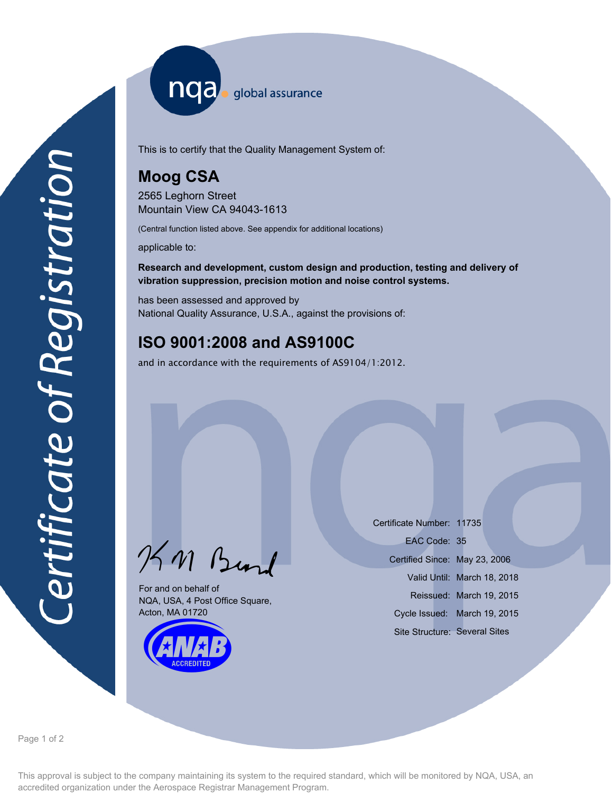nqa. global assurance

This is to certify that the Quality Management System of:

## **Moog CSA**

2565 Leghorn Street Mountain View CA 94043-1613

(Central function listed above. See appendix for additional locations)

applicable to:

**Research and development, custom design and production, testing and delivery of vibration suppression, precision motion and noise control systems.**

has been assessed and approved by National Quality Assurance, U.S.A., against the provisions of:

# **ISO 9001:2008 and AS9100C**

and in accordance with the requirements of AS9104/1:2012.

KM Burd

For and on behalf of NQA, USA, 4 Post Office Square, Acton, MA 01720



Certificate Number: 11735 Certified Since: May 23, 2006 Valid Until: March 18, 2018 Reissued: March 19, 2015 EAC Code: 35 Site Structure: Several Sites Cycle Issued: March 19, 2015

Page 1 of 2

This approval is subject to the company maintaining its system to the required standard, which will be monitored by NQA, USA, an accredited organization under the Aerospace Registrar Management Program.